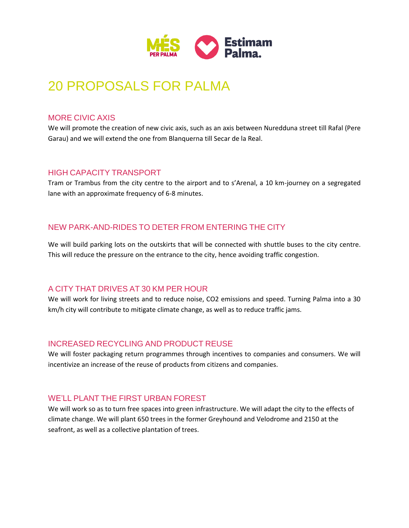

# 20 PROPOSALS FOR PALMA

#### MORE CIVIC AXIS

We will promote the creation of new civic axis, such as an axis between Nuredduna street till Rafal (Pere Garau) and we will extend the one from Blanquerna till Secar de la Real.

## HIGH CAPACITY TRANSPORT

Tram or Trambus from the city centre to the airport and to s'Arenal, a 10 km-journey on a segregated lane with an approximate frequency of 6-8 minutes.

# NEW PARK-AND-RIDES TO DETER FROM ENTERING THE CITY

We will build parking lots on the outskirts that will be connected with shuttle buses to the city centre. This will reduce the pressure on the entrance to the city, hence avoiding traffic congestion.

## A CITY THAT DRIVES AT 30 KM PER HOUR

We will work for living streets and to reduce noise, CO2 emissions and speed. Turning Palma into a 30 km/h city will contribute to mitigate climate change, as well as to reduce traffic jams.

## INCREASED RECYCLING AND PRODUCT REUSE

We will foster packaging return programmes through incentives to companies and consumers. We will incentivize an increase of the reuse of products from citizens and companies.

## WE'LL PLANT THE FIRST URBAN FOREST

We will work so as to turn free spaces into green infrastructure. We will adapt the city to the effects of climate change. We will plant 650 trees in the former Greyhound and Velodrome and 2150 at the seafront, as well as a collective plantation of trees.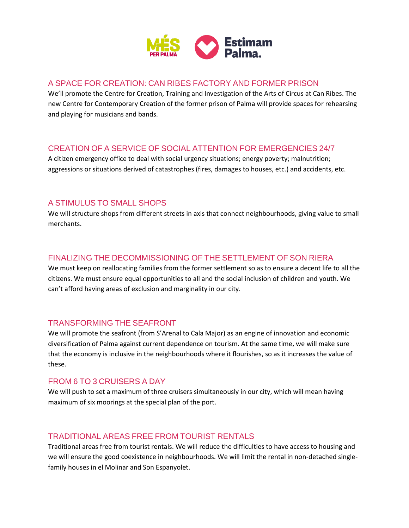

## A SPACE FOR CREATION: CAN RIBES FACTORY AND FORMER PRISON

We'll promote the Centre for Creation, Training and Investigation of the Arts of Circus at Can Ribes. The new Centre for Contemporary Creation of the former prison of Palma will provide spaces for rehearsing and playing for musicians and bands.

# CREATION OF A SERVICE OF SOCIAL ATTENTION FOR EMERGENCIES 24/7

A citizen emergency office to deal with social urgency situations; energy poverty; malnutrition; aggressions or situations derived of catastrophes (fires, damages to houses, etc.) and accidents, etc.

# A STIMULUS TO SMALL SHOPS

We will structure shops from different streets in axis that connect neighbourhoods, giving value to small merchants.

# FINALIZING THE DECOMMISSIONING OF THE SETTLEMENT OF SON RIERA

We must keep on reallocating families from the former settlement so as to ensure a decent life to all the citizens. We must ensure equal opportunities to all and the social inclusion of children and youth. We can't afford having areas of exclusion and marginality in our city.

## TRANSFORMING THE SEAFRONT

We will promote the seafront (from S'Arenal to Cala Major) as an engine of innovation and economic diversification of Palma against current dependence on tourism. At the same time, we will make sure that the economy is inclusive in the neighbourhoods where it flourishes, so as it increases the value of these.

## FROM 6 TO 3 CRUISERS A DAY

We will push to set a maximum of three cruisers simultaneously in our city, which will mean having maximum of six moorings at the special plan of the port.

## TRADITIONAL AREAS FREE FROM TOURIST RENTALS

Traditional areas free from tourist rentals. We will reduce the difficulties to have access to housing and we will ensure the good coexistence in neighbourhoods. We will limit the rental in non-detached singlefamily houses in el Molinar and Son Espanyolet.